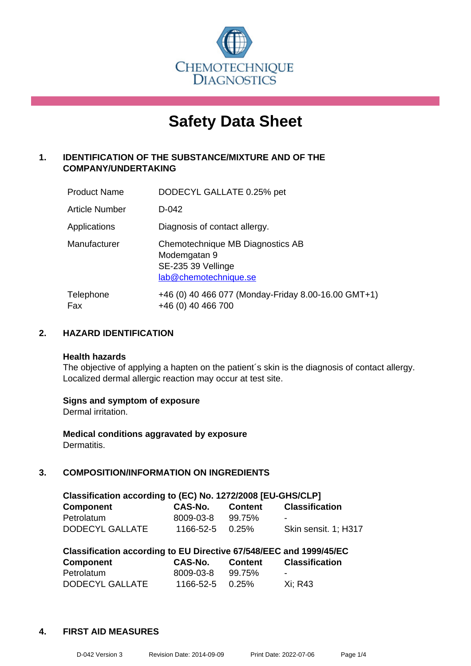

# **Safety Data Sheet**

## **1. IDENTIFICATION OF THE SUBSTANCE/MIXTURE AND OF THE COMPANY/UNDERTAKING**

| <b>Product Name</b>   | DODECYL GALLATE 0.25% pet                                                                       |
|-----------------------|-------------------------------------------------------------------------------------------------|
| <b>Article Number</b> | D-042                                                                                           |
| Applications          | Diagnosis of contact allergy.                                                                   |
| Manufacturer          | Chemotechnique MB Diagnostics AB<br>Modemgatan 9<br>SE-235 39 Vellinge<br>lab@chemotechnique.se |
| Telephone<br>Fax      | +46 (0) 40 466 077 (Monday-Friday 8.00-16.00 GMT+1)<br>+46 (0) 40 466 700                       |

## **2. HAZARD IDENTIFICATION**

#### **Health hazards**

The objective of applying a hapten on the patient's skin is the diagnosis of contact allergy. Localized dermal allergic reaction may occur at test site.

#### **Signs and symptom of exposure**

Dermal irritation.

**Medical conditions aggravated by exposure** Dermatitis.

## **3. COMPOSITION/INFORMATION ON INGREDIENTS**

| Classification according to (EC) No. 1272/2008 [EU-GHS/CLP] |                       |         |                       |  |
|-------------------------------------------------------------|-----------------------|---------|-----------------------|--|
| <b>Component</b>                                            | CAS-No.               | Content | <b>Classification</b> |  |
| Petrolatum                                                  | 8009-03-8             | 99.75%  |                       |  |
| DODECYL GALLATE                                             | $1166 - 52 - 5$ 0.25% |         | Skin sensit. 1: H317  |  |

| Classification according to EU Directive 67/548/EEC and 1999/45/EC |                 |         |                       |  |
|--------------------------------------------------------------------|-----------------|---------|-----------------------|--|
| Component                                                          | CAS-No.         | Content | <b>Classification</b> |  |
| Petrolatum                                                         | 8009-03-8       | 99.75%  | $\sim$                |  |
| DODECYL GALLATE                                                    | 1166-52-5 0.25% |         | Xi: R43               |  |

#### **4. FIRST AID MEASURES**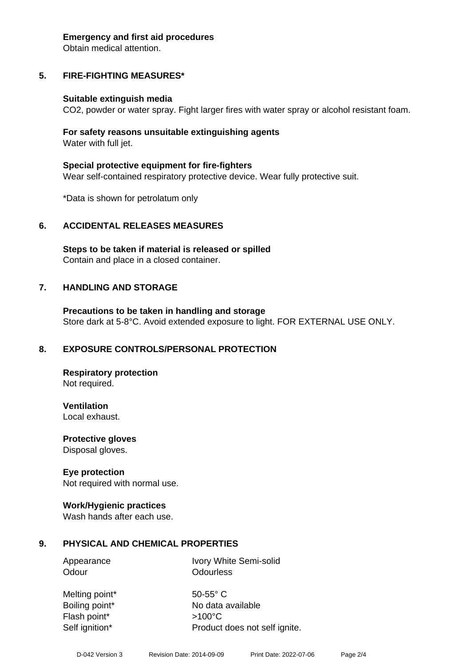#### **Emergency and first aid procedures**

Obtain medical attention.

# **5. FIRE-FIGHTING MEASURES\***

## **Suitable extinguish media**

CO2, powder or water spray. Fight larger fires with water spray or alcohol resistant foam.

## **For safety reasons unsuitable extinguishing agents** Water with full jet.

**Special protective equipment for fire-fighters** Wear self-contained respiratory protective device. Wear fully protective suit.

\*Data is shown for petrolatum only

# **6. ACCIDENTAL RELEASES MEASURES**

**Steps to be taken if material is released or spilled** Contain and place in a closed container.

# **7. HANDLING AND STORAGE**

**Precautions to be taken in handling and storage** Store dark at 5-8°C. Avoid extended exposure to light. FOR EXTERNAL USE ONLY.

# **8. EXPOSURE CONTROLS/PERSONAL PROTECTION**

**Respiratory protection** Not required.

**Ventilation** Local exhaust.

**Protective gloves**

Disposal gloves.

# **Eye protection**

Not required with normal use.

## **Work/Hygienic practices**

Wash hands after each use.

# **9. PHYSICAL AND CHEMICAL PROPERTIES**

Appearance Ivory White Semi-solid Odour **Odourless** 

Melting point\* 50-55° C Boiling point\* No data available Flash point\* >100°C Self ignition\* Product does not self ignite.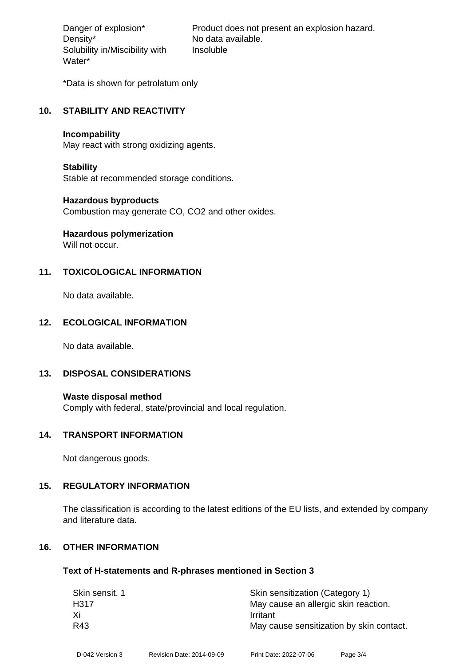Density\* No data available. Solubility in/Miscibility with Water\*

Danger of explosion\* Product does not present an explosion hazard. Insoluble

\*Data is shown for petrolatum only

## **10. STABILITY AND REACTIVITY**

#### **Incompability**

May react with strong oxidizing agents.

## **Stability**

Stable at recommended storage conditions.

## **Hazardous byproducts**

Combustion may generate CO, CO2 and other oxides.

# **Hazardous polymerization**

Will not occur.

## **11. TOXICOLOGICAL INFORMATION**

No data available.

## **12. ECOLOGICAL INFORMATION**

No data available.

## **13. DISPOSAL CONSIDERATIONS**

**Waste disposal method** Comply with federal, state/provincial and local regulation.

## **14. TRANSPORT INFORMATION**

Not dangerous goods.

## **15. REGULATORY INFORMATION**

The classification is according to the latest editions of the EU lists, and extended by company and literature data.

## **16. OTHER INFORMATION**

## **Text of H-statements and R-phrases mentioned in Section 3**

| Skin sensit. 1 | Skin sensitization (Category 1)          |
|----------------|------------------------------------------|
| H317           | May cause an allergic skin reaction.     |
| Xi             | Irritant                                 |
| R43            | May cause sensitization by skin contact. |
|                |                                          |